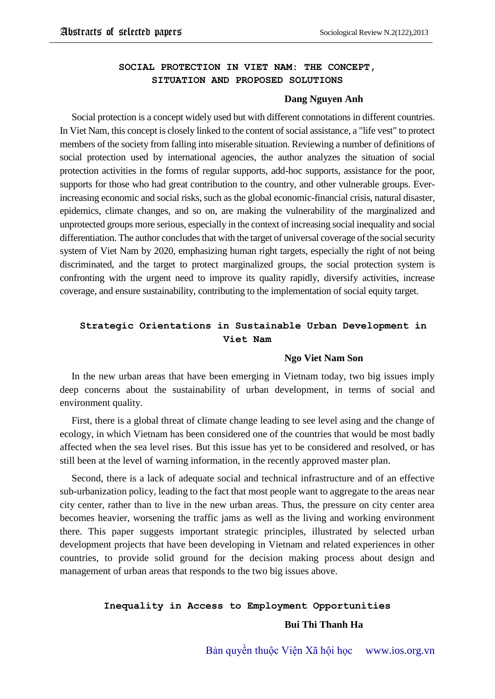# **SOCIAL PROTECTION IN VIET NAM: THE CONCEPT, SITUATION AND PROPOSED SOLUTIONS**

#### **Dang Nguyen Anh**

Social protection is a concept widely used but with different connotations in different countries. In Viet Nam, this concept is closely linked to the content of social assistance, a "life vest" to protect members of the society from falling into miserable situation. Reviewing a number of definitions of social protection used by international agencies, the author analyzes the situation of social protection activities in the forms of regular supports, add-hoc supports, assistance for the poor, supports for those who had great contribution to the country, and other vulnerable groups. Everincreasing economic and social risks, such as the global economic-financial crisis, natural disaster, epidemics, climate changes, and so on, are making the vulnerability of the marginalized and unprotected groups more serious, especially in the context of increasing social inequality and social differentiation. The author concludes that with the target of universal coverage of the social security system of Viet Nam by 2020, emphasizing human right targets, especially the right of not being discriminated, and the target to protect marginalized groups, the social protection system is confronting with the urgent need to improve its quality rapidly, diversify activities, increase coverage, and ensure sustainability, contributing to the implementation of social equity target.

# **Strategic Orientations in Sustainable Urban Development in Viet Nam**

#### **Ngo Viet Nam Son**

In the new urban areas that have been emerging in Vietnam today, two big issues imply deep concerns about the sustainability of urban development, in terms of social and environment quality.

First, there is a global threat of climate change leading to see level asing and the change of ecology, in which Vietnam has been considered one of the countries that would be most badly affected when the sea level rises. But this issue has yet to be considered and resolved, or has still been at the level of warning information, in the recently approved master plan.

Second, there is a lack of adequate social and technical infrastructure and of an effective sub-urbanization policy, leading to the fact that most people want to aggregate to the areas near city center, rather than to live in the new urban areas. Thus, the pressure on city center area becomes heavier, worsening the traffic jams as well as the living and working environment there. This paper suggests important strategic principles, illustrated by selected urban development projects that have been developing in Vietnam and related experiences in other countries, to provide solid ground for the decision making process about design and management of urban areas that responds to the two big issues above.

#### **Inequality in Access to Employment Opportunities**

### **Bui Thi Thanh Ha**

Bản quyền thuộc Viện Xã hội học www.ios.org.vn